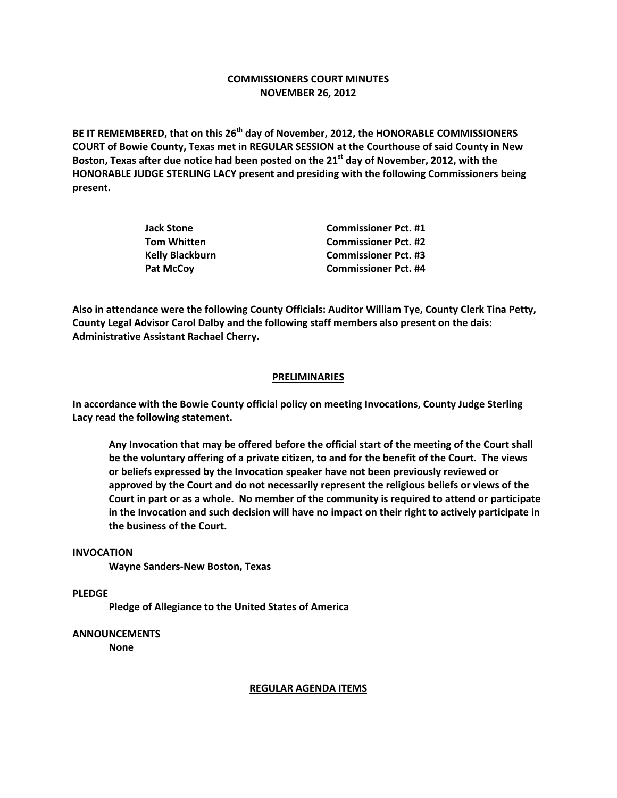## **COMMISSIONERS COURT MINUTES NOVEMBER 26, 2012**

**BE IT REMEMBERED, that on this 26th day of November, 2012, the HONORABLE COMMISSIONERS COURT of Bowie County, Texas met in REGULAR SESSION at the Courthouse of said County in New Boston, Texas after due notice had been posted on the 21st day of November, 2012, with the HONORABLE JUDGE STERLING LACY present and presiding with the following Commissioners being present.**

| <b>Jack Stone</b>      | <b>Commissioner Pct. #1</b> |
|------------------------|-----------------------------|
| <b>Tom Whitten</b>     | <b>Commissioner Pct. #2</b> |
| <b>Kelly Blackburn</b> | <b>Commissioner Pct. #3</b> |
| <b>Pat McCov</b>       | <b>Commissioner Pct. #4</b> |

**Also in attendance were the following County Officials: Auditor William Tye, County Clerk Tina Petty, County Legal Advisor Carol Dalby and the following staff members also present on the dais: Administrative Assistant Rachael Cherry.**

## **PRELIMINARIES**

**In accordance with the Bowie County official policy on meeting Invocations, County Judge Sterling Lacy read the following statement.**

**Any Invocation that may be offered before the official start of the meeting of the Court shall be the voluntary offering of a private citizen, to and for the benefit of the Court. The views or beliefs expressed by the Invocation speaker have not been previously reviewed or approved by the Court and do not necessarily represent the religious beliefs or views of the Court in part or as a whole. No member of the community is required to attend or participate in the Invocation and such decision will have no impact on their right to actively participate in the business of the Court.**

## **INVOCATION**

**Wayne Sanders-New Boston, Texas**

**PLEDGE**

**Pledge of Allegiance to the United States of America**

**ANNOUNCEMENTS**

**None**

## **REGULAR AGENDA ITEMS**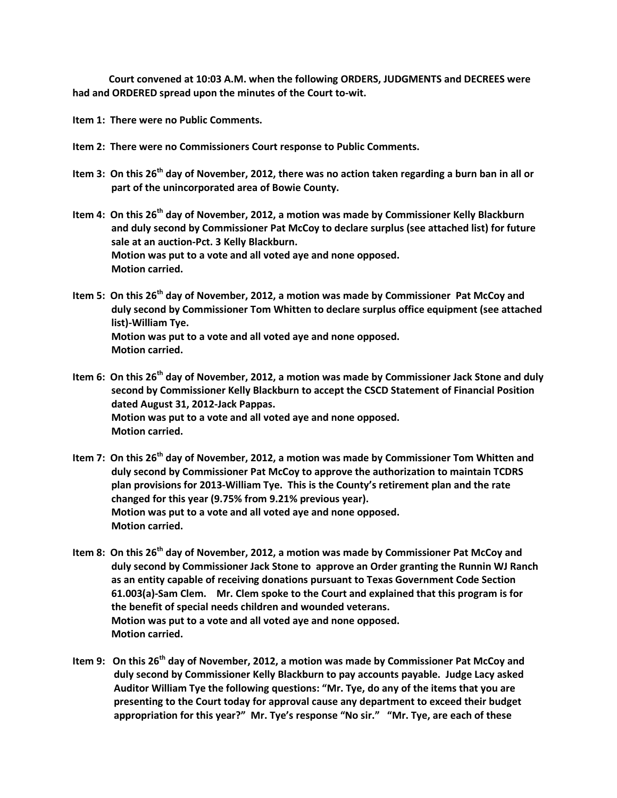**Court convened at 10:03 A.M. when the following ORDERS, JUDGMENTS and DECREES were had and ORDERED spread upon the minutes of the Court to-wit.**

**Item 1: There were no Public Comments.**

- **Item 2: There were no Commissioners Court response to Public Comments.**
- **Item 3: On this 26th day of November, 2012, there was no action taken regarding a burn ban in all or part of the unincorporated area of Bowie County.**
- **Item 4: On this 26th day of November, 2012, a motion was made by Commissioner Kelly Blackburn and duly second by Commissioner Pat McCoy to declare surplus (see attached list) for future sale at an auction-Pct. 3 Kelly Blackburn. Motion was put to a vote and all voted aye and none opposed. Motion carried.**
- **Item 5: On this 26th day of November, 2012, a motion was made by Commissioner Pat McCoy and duly second by Commissioner Tom Whitten to declare surplus office equipment (see attached list)-William Tye. Motion was put to a vote and all voted aye and none opposed. Motion carried.**
- **Item 6: On this 26th day of November, 2012, a motion was made by Commissioner Jack Stone and duly second by Commissioner Kelly Blackburn to accept the CSCD Statement of Financial Position dated August 31, 2012-Jack Pappas. Motion was put to a vote and all voted aye and none opposed. Motion carried.**
- **Item 7: On this 26th day of November, 2012, a motion was made by Commissioner Tom Whitten and duly second by Commissioner Pat McCoy to approve the authorization to maintain TCDRS plan provisions for 2013-William Tye. This is the County's retirement plan and the rate changed for this year (9.75% from 9.21% previous year). Motion was put to a vote and all voted aye and none opposed. Motion carried.**
- **Item 8: On this 26th day of November, 2012, a motion was made by Commissioner Pat McCoy and duly second by Commissioner Jack Stone to approve an Order granting the Runnin WJ Ranch as an entity capable of receiving donations pursuant to Texas Government Code Section 61.003(a)-Sam Clem. Mr. Clem spoke to the Court and explained that this program is for the benefit of special needs children and wounded veterans. Motion was put to a vote and all voted aye and none opposed. Motion carried.**
- **Item 9: On this 26th day of November, 2012, a motion was made by Commissioner Pat McCoy and duly second by Commissioner Kelly Blackburn to pay accounts payable. Judge Lacy asked Auditor William Tye the following questions: "Mr. Tye, do any of the items that you are presenting to the Court today for approval cause any department to exceed their budget appropriation for this year?" Mr. Tye's response "No sir." "Mr. Tye, are each of these**